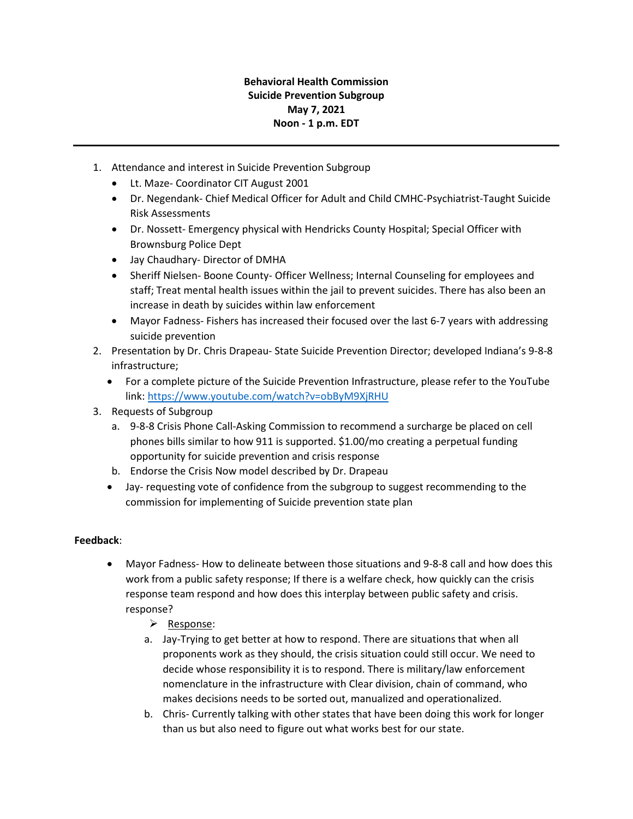## **Behavioral Health Commission Suicide Prevention Subgroup May 7, 2021 Noon - 1 p.m. EDT**

- 1. Attendance and interest in Suicide Prevention Subgroup
	- Lt. Maze- Coordinator CIT August 2001
	- Dr. Negendank- Chief Medical Officer for Adult and Child CMHC-Psychiatrist-Taught Suicide Risk Assessments
	- Dr. Nossett- Emergency physical with Hendricks County Hospital; Special Officer with Brownsburg Police Dept
	- Jay Chaudhary- Director of DMHA
	- Sheriff Nielsen- Boone County- Officer Wellness; Internal Counseling for employees and staff; Treat mental health issues within the jail to prevent suicides. There has also been an increase in death by suicides within law enforcement
	- Mayor Fadness- Fishers has increased their focused over the last 6-7 years with addressing suicide prevention
- 2. Presentation by Dr. Chris Drapeau- State Suicide Prevention Director; developed Indiana's 9-8-8 infrastructure;
	- For a complete picture of the Suicide Prevention Infrastructure, please refer to the YouTube link: <https://www.youtube.com/watch?v=obByM9XjRHU>
- 3. Requests of Subgroup
	- a. 9-8-8 Crisis Phone Call-Asking Commission to recommend a surcharge be placed on cell phones bills similar to how 911 is supported. \$1.00/mo creating a perpetual funding opportunity for suicide prevention and crisis response
	- b. Endorse the Crisis Now model described by Dr. Drapeau
	- Jay- requesting vote of confidence from the subgroup to suggest recommending to the commission for implementing of Suicide prevention state plan

## **Feedback**:

- Mayor Fadness- How to delineate between those situations and 9-8-8 call and how does this work from a public safety response; If there is a welfare check, how quickly can the crisis response team respond and how does this interplay between public safety and crisis. response?
	- $\triangleright$  Response:
	- a. Jay-Trying to get better at how to respond. There are situations that when all proponents work as they should, the crisis situation could still occur. We need to decide whose responsibility it is to respond. There is military/law enforcement nomenclature in the infrastructure with Clear division, chain of command, who makes decisions needs to be sorted out, manualized and operationalized.
	- b. Chris- Currently talking with other states that have been doing this work for longer than us but also need to figure out what works best for our state.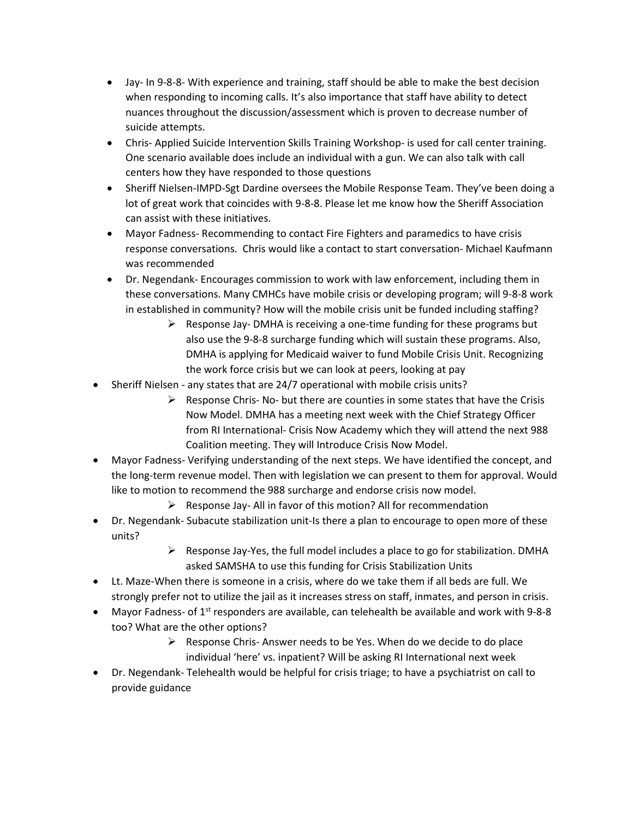- Jay- In 9-8-8- With experience and training, staff should be able to make the best decision when responding to incoming calls. It's also importance that staff have ability to detect nuances throughout the discussion/assessment which is proven to decrease number of suicide attempts.
- Chris- Applied Suicide Intervention Skills Training Workshop- is used for call center training. One scenario available does include an individual with a gun. We can also talk with call centers how they have responded to those questions
- Sheriff Nielsen-IMPD-Sgt Dardine oversees the Mobile Response Team. They've been doing a lot of great work that coincides with 9-8-8. Please let me know how the Sheriff Association can assist with these initiatives.
- Mayor Fadness- Recommending to contact Fire Fighters and paramedics to have crisis response conversations. Chris would like a contact to start conversation- Michael Kaufmann was recommended
- Dr. Negendank- Encourages commission to work with law enforcement, including them in these conversations. Many CMHCs have mobile crisis or developing program; will 9-8-8 work in established in community? How will the mobile crisis unit be funded including staffing?
	- $\triangleright$  Response Jay-DMHA is receiving a one-time funding for these programs but also use the 9-8-8 surcharge funding which will sustain these programs. Also, DMHA is applying for Medicaid waiver to fund Mobile Crisis Unit. Recognizing the work force crisis but we can look at peers, looking at pay
- Sheriff Nielsen any states that are 24/7 operational with mobile crisis units?
	- $\triangleright$  Response Chris- No- but there are counties in some states that have the Crisis Now Model. DMHA has a meeting next week with the Chief Strategy Officer from RI International- Crisis Now Academy which they will attend the next 988 Coalition meeting. They will Introduce Crisis Now Model.
- Mayor Fadness- Verifying understanding of the next steps. We have identified the concept, and the long-term revenue model. Then with legislation we can present to them for approval. Would like to motion to recommend the 988 surcharge and endorse crisis now model.
	- $\triangleright$  Response Jay- All in favor of this motion? All for recommendation
- Dr. Negendank- Subacute stabilization unit-Is there a plan to encourage to open more of these units?
	- $\triangleright$  Response Jay-Yes, the full model includes a place to go for stabilization. DMHA asked SAMSHA to use this funding for Crisis Stabilization Units
- Lt. Maze-When there is someone in a crisis, where do we take them if all beds are full. We strongly prefer not to utilize the jail as it increases stress on staff, inmates, and person in crisis.
- Mayor Fadness- of  $1<sup>st</sup>$  responders are available, can telehealth be available and work with 9-8-8 too? What are the other options?
	- $\triangleright$  Response Chris-Answer needs to be Yes. When do we decide to do place individual 'here' vs. inpatient? Will be asking RI International next week
- Dr. Negendank- Telehealth would be helpful for crisis triage; to have a psychiatrist on call to provide guidance